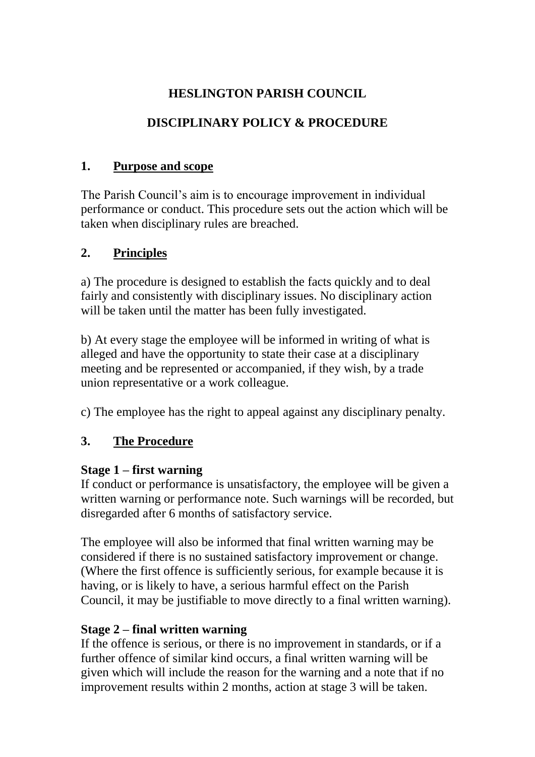# **HESLINGTON PARISH COUNCIL**

# **DISCIPLINARY POLICY & PROCEDURE**

### **1. Purpose and scope**

The Parish Council's aim is to encourage improvement in individual performance or conduct. This procedure sets out the action which will be taken when disciplinary rules are breached.

# **2. Principles**

a) The procedure is designed to establish the facts quickly and to deal fairly and consistently with disciplinary issues. No disciplinary action will be taken until the matter has been fully investigated.

b) At every stage the employee will be informed in writing of what is alleged and have the opportunity to state their case at a disciplinary meeting and be represented or accompanied, if they wish, by a trade union representative or a work colleague.

c) The employee has the right to appeal against any disciplinary penalty.

# **3. The Procedure**

### **Stage 1 – first warning**

If conduct or performance is unsatisfactory, the employee will be given a written warning or performance note. Such warnings will be recorded, but disregarded after 6 months of satisfactory service.

The employee will also be informed that final written warning may be considered if there is no sustained satisfactory improvement or change. (Where the first offence is sufficiently serious, for example because it is having, or is likely to have, a serious harmful effect on the Parish Council, it may be justifiable to move directly to a final written warning).

# **Stage 2 – final written warning**

If the offence is serious, or there is no improvement in standards, or if a further offence of similar kind occurs, a final written warning will be given which will include the reason for the warning and a note that if no improvement results within 2 months, action at stage 3 will be taken.